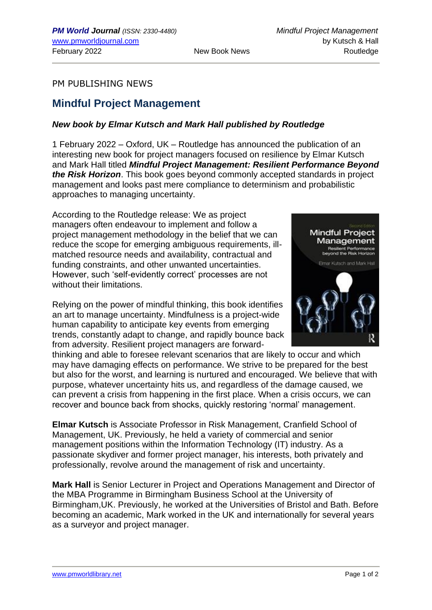## PM PUBLISHING NEWS

## **Mindful Project Management**

## *New book by Elmar Kutsch and Mark Hall published by Routledge*

1 February 2022 – Oxford, UK – Routledge has announced the publication of an interesting new book for project managers focused on resilience by Elmar Kutsch and Mark Hall titled *Mindful Project Management: Resilient Performance Beyond the Risk Horizon*. This book goes beyond commonly accepted standards in project management and looks past mere compliance to determinism and probabilistic approaches to managing uncertainty.

According to the Routledge release: We as project managers often endeavour to implement and follow a project management methodology in the belief that we can reduce the scope for emerging ambiguous requirements, illmatched resource needs and availability, contractual and funding constraints, and other unwanted uncertainties. However, such 'self-evidently correct' processes are not without their limitations.

Relying on the power of mindful thinking, this book identifies an art to manage uncertainty. Mindfulness is a project-wide human capability to anticipate key events from emerging trends, constantly adapt to change, and rapidly bounce back from adversity. Resilient project managers are forward-

thinking and able to foresee relevant scenarios that are likely to occur and which may have damaging effects on performance. We strive to be prepared for the best but also for the worst, and learning is nurtured and encouraged. We believe that with purpose, whatever uncertainty hits us, and regardless of the damage caused, we can prevent a crisis from happening in the first place. When a crisis occurs, we can recover and bounce back from shocks, quickly restoring 'normal' management.

**Elmar Kutsch** is Associate Professor in Risk Management, Cranfield School of Management, UK. Previously, he held a variety of commercial and senior management positions within the Information Technology (IT) industry. As a passionate skydiver and former project manager, his interests, both privately and professionally, revolve around the management of risk and uncertainty.

**Mark Hall** is Senior Lecturer in Project and Operations Management and Director of the MBA Programme in Birmingham Business School at the University of Birmingham,UK. Previously, he worked at the Universities of Bristol and Bath. Before becoming an academic, Mark worked in the UK and internationally for several years as a surveyor and project manager.